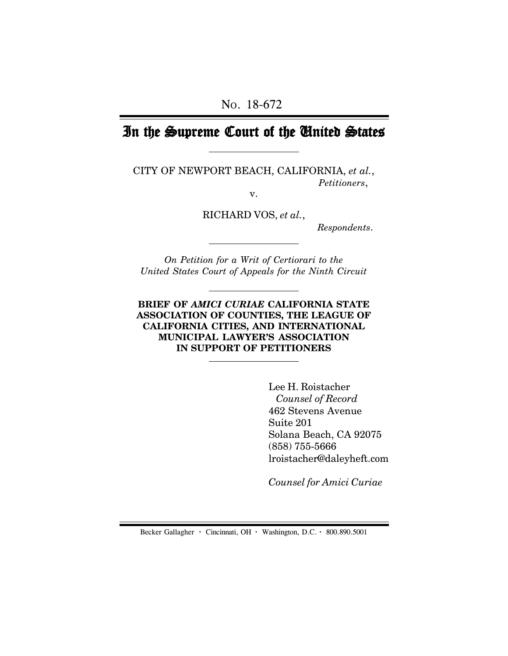# In the Supreme Court of the United States

CITY OF NEWPORT BEACH, CALIFORNIA, *et al.*, *Petitioners*,

v.

RICHARD VOS, *et al.*,

 *Respondents*.

*On Petition for a Writ of Certiorari to the United States Court of Appeals for the Ninth Circuit*

**BRIEF OF** *AMICI CURIAE* **CALIFORNIA STATE ASSOCIATION OF COUNTIES, THE LEAGUE OF CALIFORNIA CITIES, AND INTERNATIONAL MUNICIPAL LAWYER'S ASSOCIATION IN SUPPORT OF PETITIONERS**

> Lee H. Roistacher  *Counsel of Record* 462 Stevens Avenue Suite 201 Solana Beach, CA 92075 (858) 755-5666 lroistacher@daleyheft.com

*Counsel for Amici Curiae*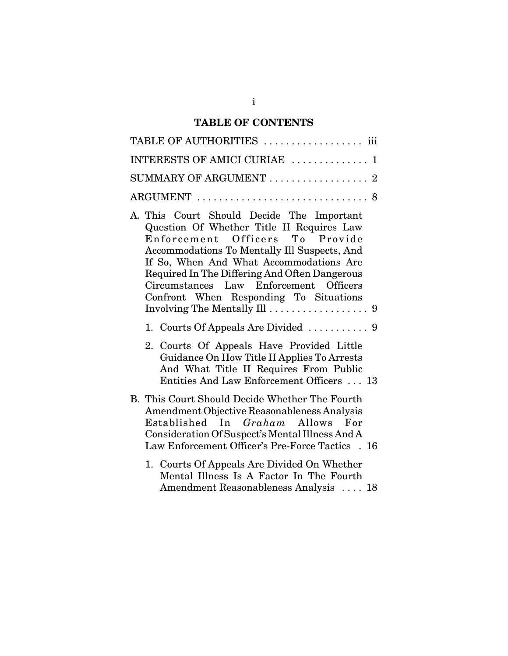# **TABLE OF CONTENTS**

| TABLE OF AUTHORITIES  iii                                                                                                                                                                                                                                                                                                                                                                 |
|-------------------------------------------------------------------------------------------------------------------------------------------------------------------------------------------------------------------------------------------------------------------------------------------------------------------------------------------------------------------------------------------|
| INTERESTS OF AMICI CURIAE  1                                                                                                                                                                                                                                                                                                                                                              |
| SUMMARY OF ARGUMENT  2                                                                                                                                                                                                                                                                                                                                                                    |
|                                                                                                                                                                                                                                                                                                                                                                                           |
| A. This Court Should Decide The Important<br>Question Of Whether Title II Requires Law<br>Enforcement Officers To Provide<br>Accommodations To Mentally Ill Suspects, And<br>If So, When And What Accommodations Are<br>Required In The Differing And Often Dangerous<br>Circumstances Law Enforcement Officers<br>Confront When Responding To Situations<br>Involving The Mentally Ill 9 |
| 1. Courts Of Appeals Are Divided  9                                                                                                                                                                                                                                                                                                                                                       |
| 2. Courts Of Appeals Have Provided Little<br>Guidance On How Title II Applies To Arrests<br>And What Title II Requires From Public<br>Entities And Law Enforcement Officers  13                                                                                                                                                                                                           |
| B. This Court Should Decide Whether The Fourth<br>Amendment Objective Reasonableness Analysis<br>Established In <i>Graham</i> Allows For<br>Consideration Of Suspect's Mental Illness And A<br>Law Enforcement Officer's Pre-Force Tactics . 16                                                                                                                                           |
| 1. Courts Of Appeals Are Divided On Whether<br>Mental Illness Is A Factor In The Fourth<br>Amendment Reasonableness Analysis  18                                                                                                                                                                                                                                                          |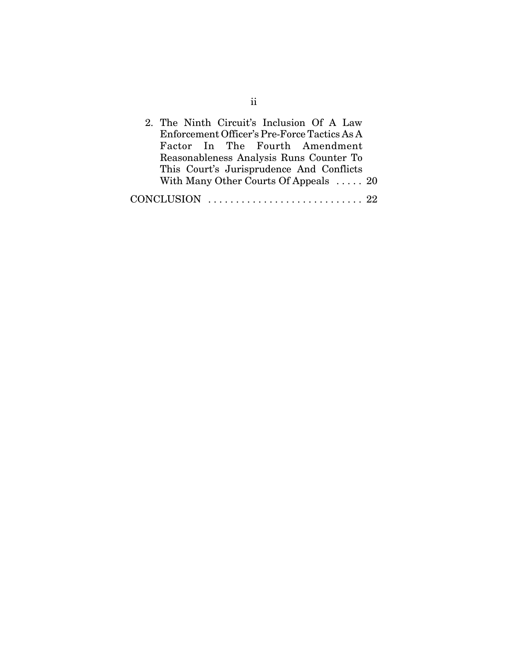| 2. The Ninth Circuit's Inclusion Of A Law                        |
|------------------------------------------------------------------|
| Enforcement Officer's Pre-Force Tactics As A                     |
| Factor In The Fourth Amendment                                   |
| Reasonableness Analysis Runs Counter To                          |
| This Court's Jurisprudence And Conflicts                         |
| With Many Other Courts Of Appeals  20                            |
| CONCLUSION $\ldots \ldots \ldots \ldots \ldots \ldots \ldots 22$ |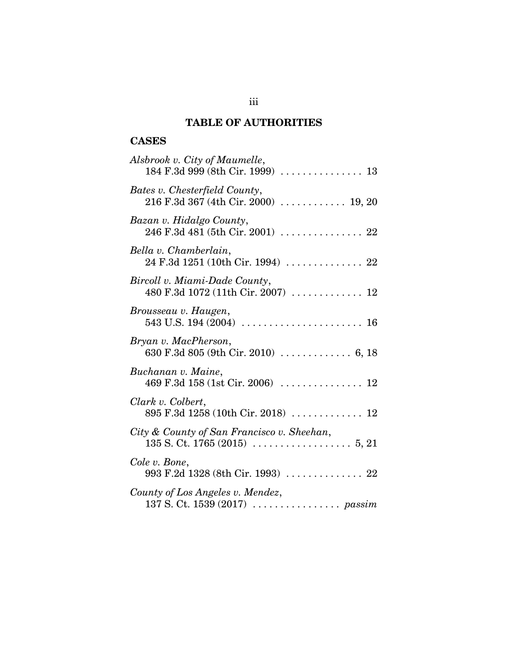# **TABLE OF AUTHORITIES**

# **CASES**

| Alsbrook v. City of Maumelle,                                         |
|-----------------------------------------------------------------------|
| Bates v. Chesterfield County,<br>216 F.3d 367 (4th Cir. 2000)  19, 20 |
| Bazan v. Hidalgo County,                                              |
| Bella v. Chamberlain,<br>$24$ F.3d 1251 (10th Cir. 1994)  22          |
| Bircoll v. Miami-Dade County,<br>480 F.3d 1072 (11th Cir. 2007)  12   |
| Brousseau v. Haugen,                                                  |
| Bryan v. MacPherson,<br>630 F.3d 805 (9th Cir. 2010)  6, 18           |
| Buchanan v. Maine,                                                    |
| Clark v. Colbert,<br>895 F.3d 1258 (10th Cir. 2018)  12               |
| City & County of San Francisco v. Sheehan,                            |
| Cole v. Bone,<br>993 F.2d 1328 (8th Cir. 1993)  22                    |
| County of Los Angeles v. Mendez,                                      |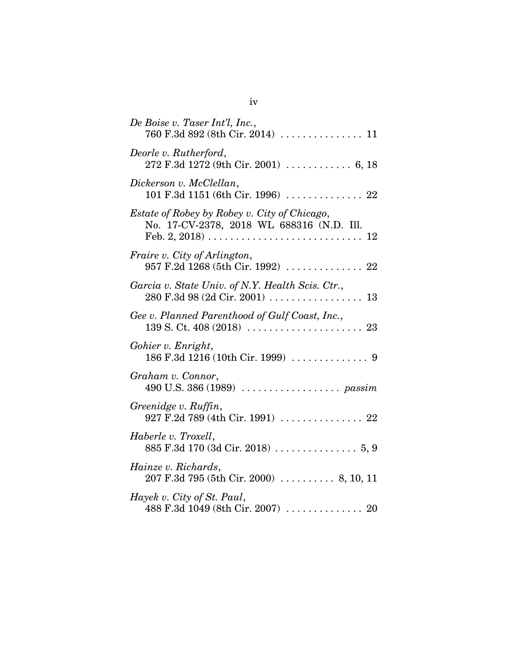| De Boise v. Taser Int'l, Inc.,                                                            |
|-------------------------------------------------------------------------------------------|
| Deorle v. Rutherford,<br>272 F.3d 1272 (9th Cir. 2001)  6, 18                             |
| Dickerson v. McClellan,<br>101 F.3d 1151 (6th Cir. 1996)  22                              |
| Estate of Robey by Robey v. City of Chicago,<br>No. 17-CV-2378, 2018 WL 688316 (N.D. Ill. |
| Fraire v. City of Arlington,<br>957 F.2d 1268 (5th Cir. 1992)  22                         |
| Garcia v. State Univ. of N.Y. Health Scis. Ctr.,<br>$280$ F.3d 98 (2d Cir. 2001) 13       |
| Gee v. Planned Parenthood of Gulf Coast, Inc.,                                            |
| Gohier v. Enright,                                                                        |
| Graham v. Connor,                                                                         |
| Greenidge v. Ruffin,<br>927 F.2d 789 (4th Cir. 1991)  22                                  |
| Haberle v. Troxell,                                                                       |
| Hainze v. Richards,<br>207 F.3d 795 (5th Cir. 2000)  8, 10, 11                            |
| Hayek v. City of St. Paul,<br>488 F.3d 1049 (8th Cir. 2007)  20                           |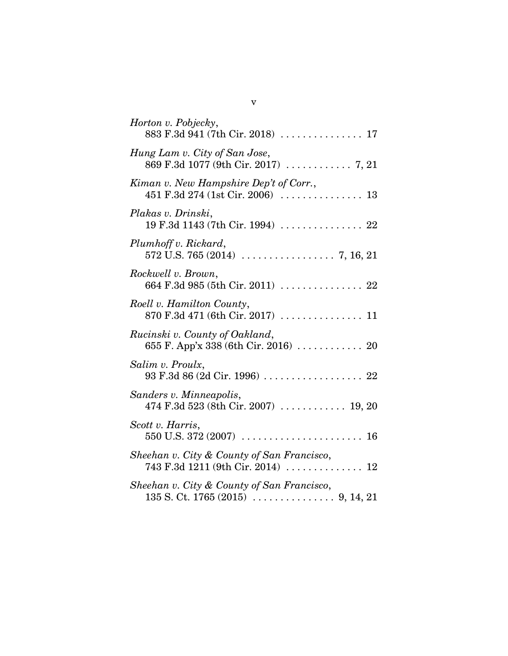| Horton v. Pobjecky,<br>883 F.3d 941 (7th Cir. 2018)  17                                                            |
|--------------------------------------------------------------------------------------------------------------------|
| Hung Lam v. City of San Jose,<br>869 F.3d 1077 (9th Cir. 2017)  7, 21                                              |
| Kiman v. New Hampshire Dep't of Corr.,                                                                             |
| Plakas v. Drinski,<br>19 F.3d 1143 (7th Cir. 1994)  22                                                             |
| Plumhoff v. Rickard,<br>$572 \text{ U.S. } 765 \text{ (2014)} \dots \dots \dots \dots \dots \dots \dots 7, 16, 21$ |
| Rockwell v. Brown,<br>664 F.3d 985 (5th Cir. 2011)  22                                                             |
| Roell v. Hamilton County,<br>870 F.3d 471 (6th Cir. 2017)  11                                                      |
| Rucinski v. County of Oakland,<br>655 F. App'x 338 (6th Cir. 2016)  20                                             |
| Salim v. Proulx,<br>93 F.3d 86 (2d Cir. 1996)  22                                                                  |
| Sanders v. Minneapolis,<br>474 F.3d 523 (8th Cir. 2007) $\ldots \ldots \ldots \ldots 19, 20$                       |
| Scott v. Harris,                                                                                                   |
| Sheehan v. City & County of San Francisco,<br>743 F.3d 1211 (9th Cir. 2014)  12                                    |
| Sheehan v. City & County of San Francisco,                                                                         |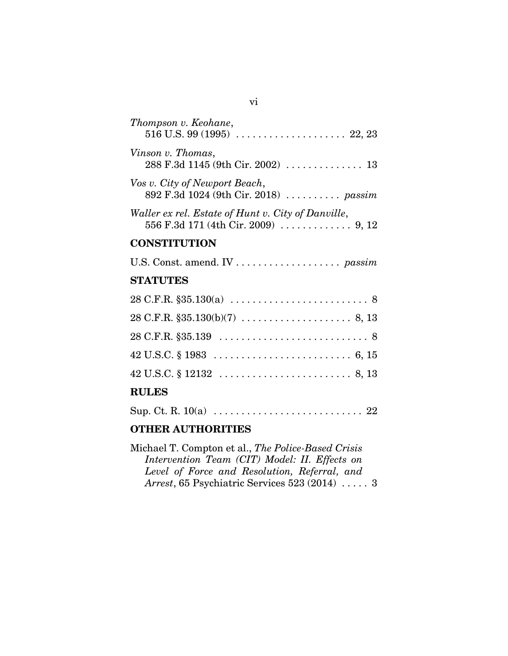| Thompson v. Keohane,                                                                      |
|-------------------------------------------------------------------------------------------|
| Vinson v. Thomas,<br>288 F.3d 1145 (9th Cir. 2002)  13                                    |
| Vos v. City of Newport Beach,<br>892 F.3d 1024 (9th Cir. 2018)  passim                    |
| Waller ex rel. Estate of Hunt v. City of Danville,<br>556 F.3d 171 (4th Cir. 2009)  9, 12 |
| <b>CONSTITUTION</b>                                                                       |
|                                                                                           |
| <b>STATUTES</b>                                                                           |
|                                                                                           |
|                                                                                           |
|                                                                                           |
|                                                                                           |
|                                                                                           |
| <b>RULES</b>                                                                              |
|                                                                                           |

## **OTHER AUTHORITIES**

Michael T. Compton et al., *The Police-Based Crisis Intervention Team (CIT) Model: II. Effects on Level of Force and Resolution, Referral, and Arrest*, 65 Psychiatric Services 523 (2014) ..... 3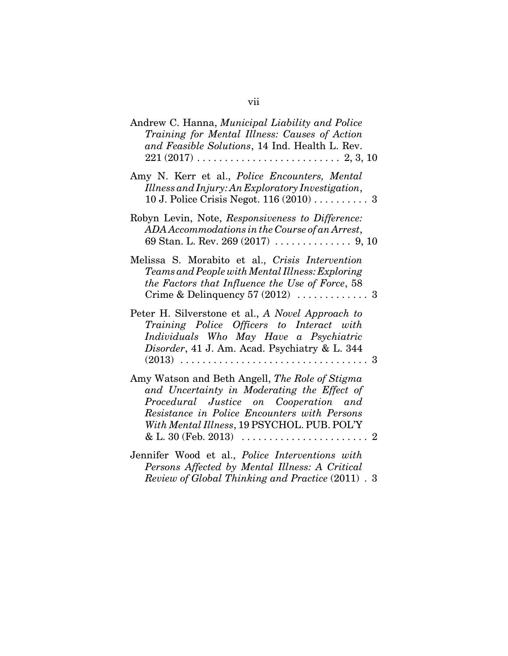| Andrew C. Hanna, Municipal Liability and Police<br>Training for Mental Illness: Causes of Action<br>and Feasible Solutions, 14 Ind. Health L. Rev.<br>$221 (2017) \ldots \ldots \ldots \ldots \ldots \ldots \ldots \ldots \ldots \ldots \, 2, \, 3, \, 10$ |
|------------------------------------------------------------------------------------------------------------------------------------------------------------------------------------------------------------------------------------------------------------|
| Amy N. Kerr et al., Police Encounters, Mental<br>Illness and Injury: An Exploratory Investigation,<br>10 J. Police Crisis Negot. $116(2010)$ 3                                                                                                             |
| Robyn Levin, Note, Responsiveness to Difference:<br>ADA Accommodations in the Course of an Arrest,                                                                                                                                                         |
| Melissa S. Morabito et al., Crisis Intervention<br>Teams and People with Mental Illness: Exploring<br>the Factors that Influence the Use of Force, 58                                                                                                      |
| Peter H. Silverstone et al., A Novel Approach to<br>Training Police Officers to Interact with<br>Individuals Who May Have a Psychiatric<br>Disorder, 41 J. Am. Acad. Psychiatry & L. 344                                                                   |
| Amy Watson and Beth Angell, The Role of Stigma<br>and Uncertainty in Moderating the Effect of<br>Procedural Justice on Cooperation and<br>Resistance in Police Encounters with Persons<br>With Mental Illness, 19 PSYCHOL. PUB. POL'Y                      |
| Jennifer Wood et al., Police Interventions with<br>Persons Affected by Mental Illness: A Critical<br>Review of Global Thinking and Practice (2011) . 3                                                                                                     |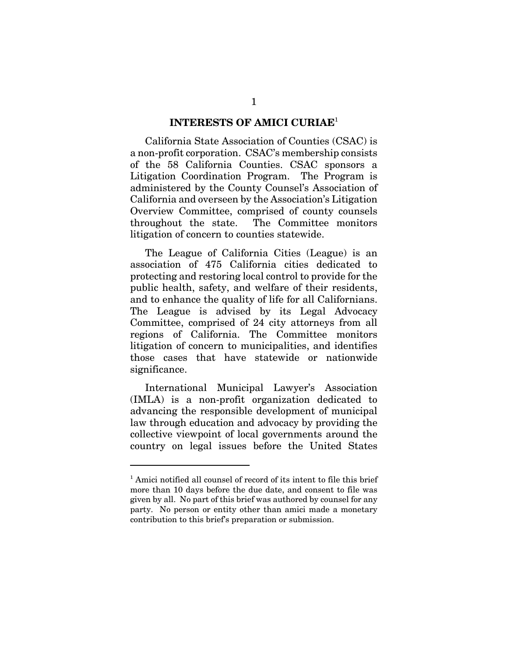#### **INTERESTS OF AMICI CURIAE**<sup>1</sup>

California State Association of Counties (CSAC) is a non-profit corporation. CSAC's membership consists of the 58 California Counties. CSAC sponsors a Litigation Coordination Program. The Program is administered by the County Counsel's Association of California and overseen by the Association's Litigation Overview Committee, comprised of county counsels throughout the state. The Committee monitors litigation of concern to counties statewide.

The League of California Cities (League) is an association of 475 California cities dedicated to protecting and restoring local control to provide for the public health, safety, and welfare of their residents, and to enhance the quality of life for all Californians. The League is advised by its Legal Advocacy Committee, comprised of 24 city attorneys from all regions of California. The Committee monitors litigation of concern to municipalities, and identifies those cases that have statewide or nationwide significance.

International Municipal Lawyer's Association (IMLA) is a non-profit organization dedicated to advancing the responsible development of municipal law through education and advocacy by providing the collective viewpoint of local governments around the country on legal issues before the United States

<sup>&</sup>lt;sup>1</sup> Amici notified all counsel of record of its intent to file this brief more than 10 days before the due date, and consent to file was given by all. No part of this brief was authored by counsel for any party. No person or entity other than amici made a monetary contribution to this brief's preparation or submission.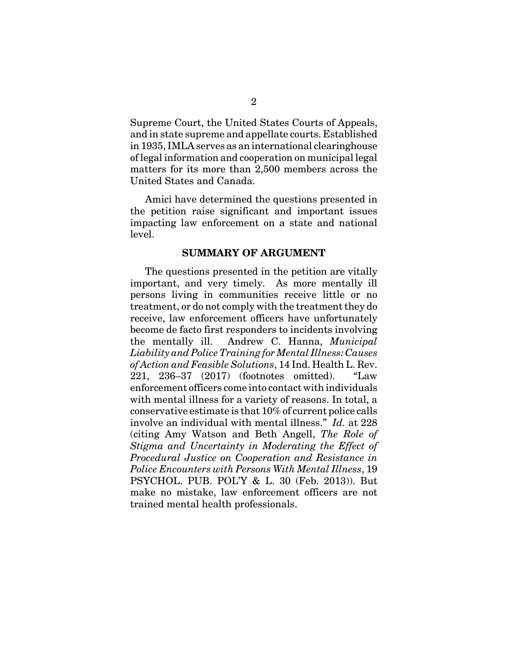Supreme Court, the United States Courts of Appeals, and in state supreme and appellate courts. Established in 1935, IMLA serves as an international clearinghouse of legal information and cooperation on municipal legal matters for its more than 2,500 members across the United States and Canada.

Amici have determined the questions presented in the petition raise significant and important issues impacting law enforcement on a state and national level.

#### **SUMMARY OF ARGUMENT**

The questions presented in the petition are vitally important, and very timely. As more mentally ill persons living in communities receive little or no treatment, or do not comply with the treatment they do receive, law enforcement officers have unfortunately become de facto first responders to incidents involving the mentally ill. Andrew C. Hanna, *Municipal Liability and Police Training for Mental Illness: Causes of Action and Feasible Solutions*, 14 Ind. Health L. Rev. 221, 236–37 (2017) (footnotes omitted). "Law enforcement officers come into contact with individuals with mental illness for a variety of reasons. In total, a conservative estimate is that 10% of current police calls involve an individual with mental illness." *Id.* at 228 (citing Amy Watson and Beth Angell, *The Role of Stigma and Uncertainty in Moderating the Effect of Procedural Justice on Cooperation and Resistance in Police Encounters with Persons With Mental Illness*, 19 PSYCHOL. PUB. POL'Y & L. 30 (Feb. 2013)). But make no mistake, law enforcement officers are not trained mental health professionals.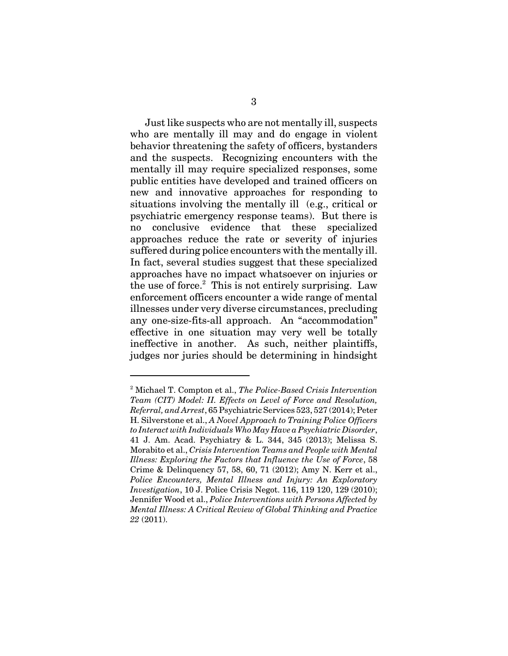Just like suspects who are not mentally ill, suspects who are mentally ill may and do engage in violent behavior threatening the safety of officers, bystanders and the suspects. Recognizing encounters with the mentally ill may require specialized responses, some public entities have developed and trained officers on new and innovative approaches for responding to situations involving the mentally ill (e.g., critical or psychiatric emergency response teams). But there is no conclusive evidence that these specialized approaches reduce the rate or severity of injuries suffered during police encounters with the mentally ill. In fact, several studies suggest that these specialized approaches have no impact whatsoever on injuries or the use of force.<sup>2</sup> This is not entirely surprising. Law enforcement officers encounter a wide range of mental illnesses under very diverse circumstances, precluding any one-size-fits-all approach. An "accommodation" effective in one situation may very well be totally ineffective in another. As such, neither plaintiffs, judges nor juries should be determining in hindsight

<sup>2</sup> Michael T. Compton et al., *The Police-Based Crisis Intervention Team (CIT) Model: II. Effects on Level of Force and Resolution, Referral, and Arrest*, 65 Psychiatric Services 523, 527 (2014); Peter H. Silverstone et al., *A Novel Approach to Training Police Officers to Interact with Individuals Who May Have a Psychiatric Disorder*, 41 J. Am. Acad. Psychiatry & L. 344, 345 (2013); Melissa S. Morabito et al., *Crisis Intervention Teams and People with Mental Illness: Exploring the Factors that Influence the Use of Force*, 58 Crime & Delinquency 57, 58, 60, 71 (2012); Amy N. Kerr et al., *Police Encounters, Mental Illness and Injury: An Exploratory Investigation*, 10 J. Police Crisis Negot. 116, 119 120, 129 (2010); Jennifer Wood et al., *Police Interventions with Persons Affected by Mental Illness: A Critical Review of Global Thinking and Practice 22* (2011).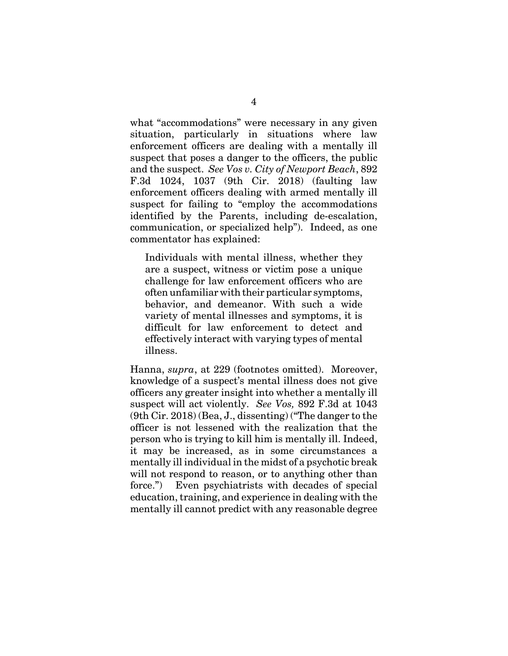what "accommodations" were necessary in any given situation, particularly in situations where law enforcement officers are dealing with a mentally ill suspect that poses a danger to the officers, the public and the suspect. *See Vos v. City of Newport Beach*, 892 F.3d 1024, 1037 (9th Cir. 2018) (faulting law enforcement officers dealing with armed mentally ill suspect for failing to "employ the accommodations identified by the Parents, including de-escalation, communication, or specialized help"). Indeed, as one commentator has explained:

Individuals with mental illness, whether they are a suspect, witness or victim pose a unique challenge for law enforcement officers who are often unfamiliar with their particular symptoms, behavior, and demeanor. With such a wide variety of mental illnesses and symptoms, it is difficult for law enforcement to detect and effectively interact with varying types of mental illness.

Hanna, *supra*, at 229 (footnotes omitted). Moreover, knowledge of a suspect's mental illness does not give officers any greater insight into whether a mentally ill suspect will act violently. *See Vos,* 892 F.3d at 1043 (9th Cir. 2018) (Bea, J., dissenting) ("The danger to the officer is not lessened with the realization that the person who is trying to kill him is mentally ill. Indeed, it may be increased, as in some circumstances a mentally ill individual in the midst of a psychotic break will not respond to reason, or to anything other than force.") Even psychiatrists with decades of special education, training, and experience in dealing with the mentally ill cannot predict with any reasonable degree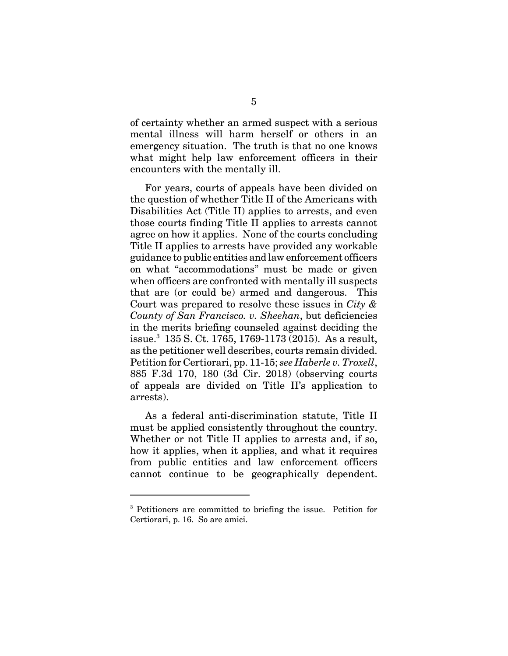of certainty whether an armed suspect with a serious mental illness will harm herself or others in an emergency situation. The truth is that no one knows what might help law enforcement officers in their encounters with the mentally ill.

For years, courts of appeals have been divided on the question of whether Title II of the Americans with Disabilities Act (Title II) applies to arrests, and even those courts finding Title II applies to arrests cannot agree on how it applies. None of the courts concluding Title II applies to arrests have provided any workable guidance to public entities and law enforcement officers on what "accommodations" must be made or given when officers are confronted with mentally ill suspects that are (or could be) armed and dangerous. This Court was prepared to resolve these issues in *City & County of San Francisco. v. Sheehan*, but deficiencies in the merits briefing counseled against deciding the issue.<sup>3</sup> 135 S. Ct. 1765, 1769-1173 (2015). As a result, as the petitioner well describes, courts remain divided. Petition for Certiorari, pp. 11-15; *see Haberle v. Troxell*, 885 F.3d 170, 180 (3d Cir. 2018) (observing courts of appeals are divided on Title II's application to arrests).

As a federal anti-discrimination statute, Title II must be applied consistently throughout the country. Whether or not Title II applies to arrests and, if so, how it applies, when it applies, and what it requires from public entities and law enforcement officers cannot continue to be geographically dependent.

<sup>&</sup>lt;sup>3</sup> Petitioners are committed to briefing the issue. Petition for Certiorari, p. 16. So are amici.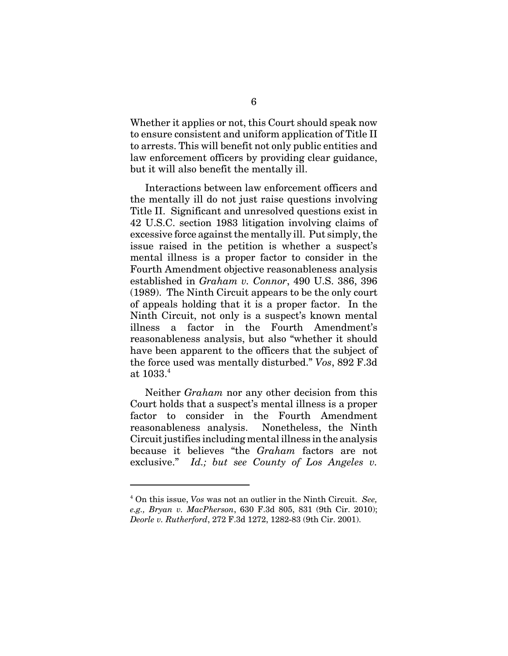Whether it applies or not, this Court should speak now to ensure consistent and uniform application of Title II to arrests. This will benefit not only public entities and law enforcement officers by providing clear guidance, but it will also benefit the mentally ill.

Interactions between law enforcement officers and the mentally ill do not just raise questions involving Title II. Significant and unresolved questions exist in 42 U.S.C. section 1983 litigation involving claims of excessive force against the mentally ill. Put simply, the issue raised in the petition is whether a suspect's mental illness is a proper factor to consider in the Fourth Amendment objective reasonableness analysis established in *Graham v. Connor*, 490 U.S. 386, 396 (1989). The Ninth Circuit appears to be the only court of appeals holding that it is a proper factor. In the Ninth Circuit, not only is a suspect's known mental illness a factor in the Fourth Amendment's reasonableness analysis, but also "whether it should have been apparent to the officers that the subject of the force used was mentally disturbed." *Vos*, 892 F.3d at 1033.<sup>4</sup>

Neither *Graham* nor any other decision from this Court holds that a suspect's mental illness is a proper factor to consider in the Fourth Amendment reasonableness analysis. Nonetheless, the Ninth Circuit justifies including mental illness in the analysis because it believes "the *Graham* factors are not exclusive." *Id.; but see County of Los Angeles v.*

<sup>4</sup> On this issue, *Vos* was not an outlier in the Ninth Circuit. *See, e.g., Bryan v. MacPherson*, 630 F.3d 805, 831 (9th Cir. 2010); *Deorle v. Rutherford*, 272 F.3d 1272, 1282-83 (9th Cir. 2001).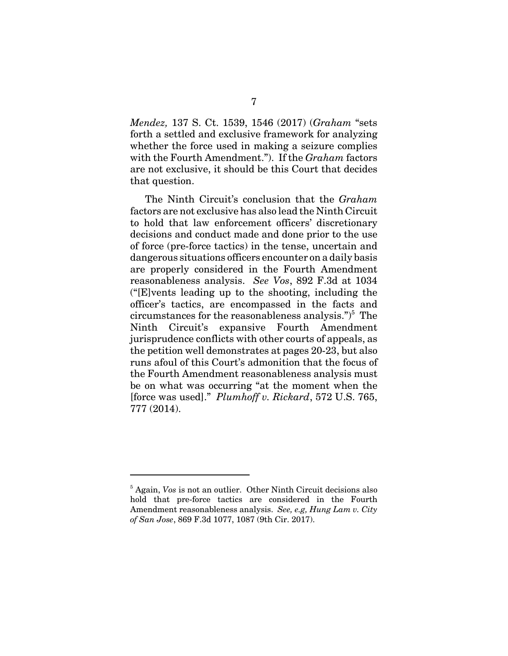*Mendez,* 137 S. Ct. 1539, 1546 (2017) (*Graham* "sets forth a settled and exclusive framework for analyzing whether the force used in making a seizure complies with the Fourth Amendment."). If the *Graham* factors are not exclusive, it should be this Court that decides that question.

The Ninth Circuit's conclusion that the *Graham* factors are not exclusive has also lead the Ninth Circuit to hold that law enforcement officers' discretionary decisions and conduct made and done prior to the use of force (pre-force tactics) in the tense, uncertain and dangerous situations officers encounter on a daily basis are properly considered in the Fourth Amendment reasonableness analysis. *See Vos*, 892 F.3d at 1034 ("[E]vents leading up to the shooting, including the officer's tactics, are encompassed in the facts and circumstances for the reasonableness analysis.")<sup>5</sup> The Ninth Circuit's expansive Fourth Amendment jurisprudence conflicts with other courts of appeals, as the petition well demonstrates at pages 20-23, but also runs afoul of this Court's admonition that the focus of the Fourth Amendment reasonableness analysis must be on what was occurring "at the moment when the [force was used]." *Plumhoff v. Rickard*, 572 U.S. 765, 777 (2014).

<sup>&</sup>lt;sup>5</sup> Again, *Vos* is not an outlier. Other Ninth Circuit decisions also hold that pre-force tactics are considered in the Fourth Amendment reasonableness analysis. *See, e.g, Hung Lam v. City of San Jose*, 869 F.3d 1077, 1087 (9th Cir. 2017).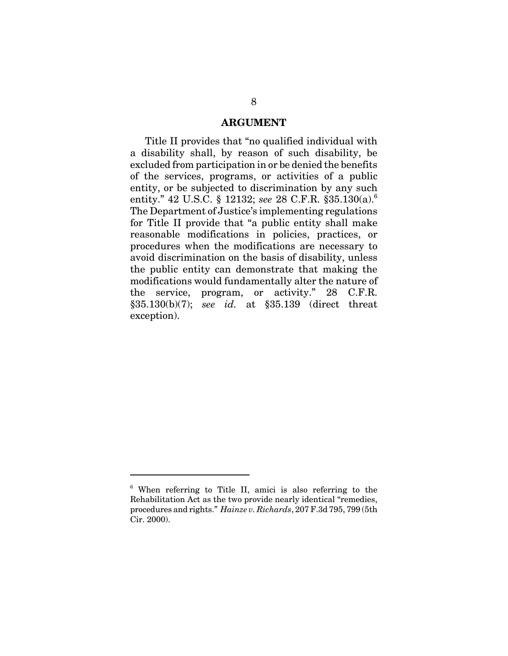#### **ARGUMENT**

Title II provides that "no qualified individual with a disability shall, by reason of such disability, be excluded from participation in or be denied the benefits of the services, programs, or activities of a public entity, or be subjected to discrimination by any such entity." 42 U.S.C. § 12132; *see* 28 C.F.R. §35.130(a).<sup>6</sup> The Department of Justice's implementing regulations for Title II provide that "a public entity shall make reasonable modifications in policies, practices, or procedures when the modifications are necessary to avoid discrimination on the basis of disability, unless the public entity can demonstrate that making the modifications would fundamentally alter the nature of the service, program, or activity." 28 C.F.R. §35.130(b)(7); *see id.* at §35.139 (direct threat exception).

<sup>&</sup>lt;sup>6</sup> When referring to Title II, amici is also referring to the Rehabilitation Act as the two provide nearly identical "remedies, procedures and rights." *Hainze v. Richards*, 207 F.3d 795, 799 (5th Cir. 2000).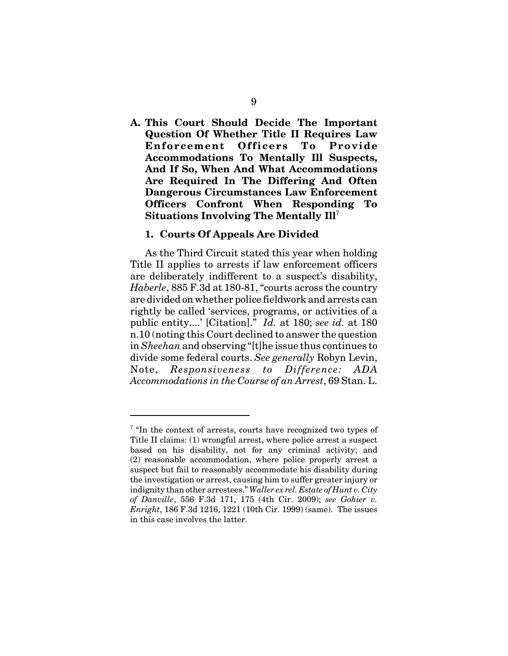**A. This Court Should Decide The Important Question Of Whether Title II Requires Law Enforcement Officers To Provide Accommodations To Mentally Ill Suspects, And If So, When And What Accommodations Are Required In The Differing And Often Dangerous Circumstances Law Enforcement Officers Confront When Responding To Situations Involving The Mentally Ill**<sup>7</sup>

#### **1. Courts Of Appeals Are Divided**

As the Third Circuit stated this year when holding Title II applies to arrests if law enforcement officers are deliberately indifferent to a suspect's disability, *Haberle*, 885 F.3d at 180-81, "courts across the country are divided on whether police fieldwork and arrests can rightly be called 'services, programs, or activities of a public entity....' [Citation]." *Id.* at 180; *see id.* at 180 n.10 (noting this Court declined to answer the question in *Sheehan* and observing "[t]he issue thus continues to divide some federal courts. *See generally* Robyn Levin, Note, *Responsiveness to Difference: ADA Accommodations in the Course of an Arrest*, 69 Stan. L.

<sup>&</sup>lt;sup>7</sup> "In the context of arrests, courts have recognized two types of Title II claims: (1) wrongful arrest, where police arrest a suspect based on his disability, not for any criminal activity; and (2) reasonable accommodation, where police properly arrest a suspect but fail to reasonably accommodate his disability during the investigation or arrest, causing him to suffer greater injury or indignity than other arrestees." *Waller ex rel. Estate of Hunt v. City of Danville*, 556 F.3d 171, 175 (4th Cir. 2009); *see Gohier v. Enright*, 186 F.3d 1216, 1221 (10th Cir. 1999) (same). The issues in this case involves the latter.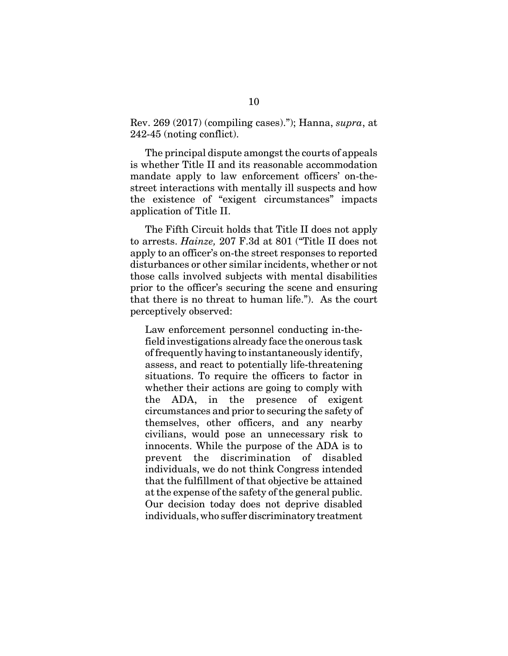Rev. 269 (2017) (compiling cases)."); Hanna, *supra*, at 242-45 (noting conflict).

The principal dispute amongst the courts of appeals is whether Title II and its reasonable accommodation mandate apply to law enforcement officers' on-thestreet interactions with mentally ill suspects and how the existence of "exigent circumstances" impacts application of Title II.

The Fifth Circuit holds that Title II does not apply to arrests. *Hainze,* 207 F.3d at 801 ("Title II does not apply to an officer's on-the street responses to reported disturbances or other similar incidents, whether or not those calls involved subjects with mental disabilities prior to the officer's securing the scene and ensuring that there is no threat to human life."). As the court perceptively observed:

Law enforcement personnel conducting in-thefield investigations already face the onerous task of frequently having to instantaneously identify, assess, and react to potentially life-threatening situations. To require the officers to factor in whether their actions are going to comply with the ADA, in the presence of exigent circumstances and prior to securing the safety of themselves, other officers, and any nearby civilians, would pose an unnecessary risk to innocents. While the purpose of the ADA is to prevent the discrimination of disabled individuals, we do not think Congress intended that the fulfillment of that objective be attained at the expense of the safety of the general public. Our decision today does not deprive disabled individuals, who suffer discriminatory treatment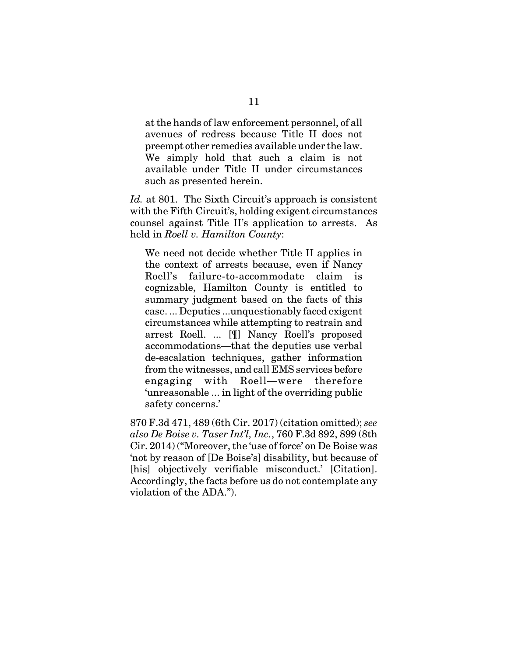at the hands of law enforcement personnel, of all avenues of redress because Title II does not preempt other remedies available under the law. We simply hold that such a claim is not available under Title II under circumstances such as presented herein.

*Id.* at 801. The Sixth Circuit's approach is consistent with the Fifth Circuit's, holding exigent circumstances counsel against Title II's application to arrests. As held in *Roell v. Hamilton County*:

We need not decide whether Title II applies in the context of arrests because, even if Nancy Roell's failure-to-accommodate claim is cognizable, Hamilton County is entitled to summary judgment based on the facts of this case. ... Deputies ...unquestionably faced exigent circumstances while attempting to restrain and arrest Roell. ... [¶] Nancy Roell's proposed accommodations—that the deputies use verbal de-escalation techniques, gather information from the witnesses, and call EMS services before engaging with Roell—were therefore 'unreasonable ... in light of the overriding public safety concerns.'

870 F.3d 471, 489 (6th Cir. 2017) (citation omitted); *see also De Boise v. Taser Int'l, Inc.*, 760 F.3d 892, 899 (8th Cir. 2014) ("Moreover, the 'use of force' on De Boise was 'not by reason of [De Boise's] disability, but because of [his] objectively verifiable misconduct.' [Citation]. Accordingly, the facts before us do not contemplate any violation of the ADA.").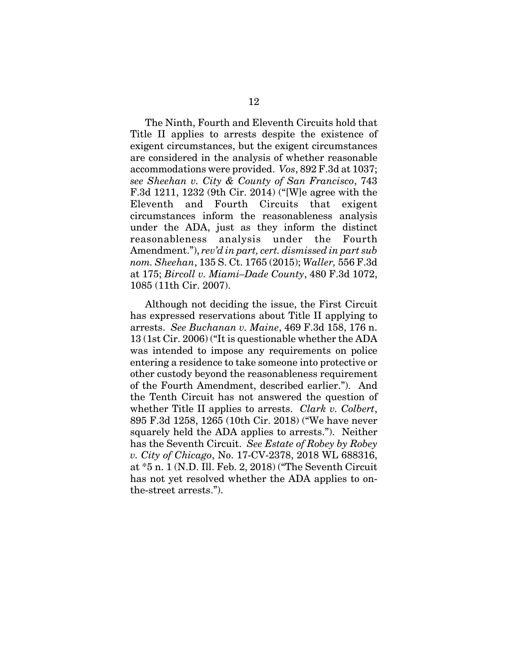The Ninth, Fourth and Eleventh Circuits hold that Title II applies to arrests despite the existence of exigent circumstances, but the exigent circumstances are considered in the analysis of whether reasonable accommodations were provided. *Vos*, 892 F.3d at 1037; *see Sheehan v. City & County of San Francisco*, 743 F.3d 1211, 1232 (9th Cir. 2014) ("[W]e agree with the Eleventh and Fourth Circuits that exigent circumstances inform the reasonableness analysis under the ADA, just as they inform the distinct reasonableness analysis under the Fourth Amendment."), *rev'd in part, cert. dismissed in part sub nom. Sheehan*, 135 S. Ct. 1765 (2015); *Waller,* 556 F.3d at 175; *Bircoll v. Miami–Dade County*, 480 F.3d 1072, 1085 (11th Cir. 2007).

Although not deciding the issue, the First Circuit has expressed reservations about Title II applying to arrests. *See Buchanan v. Maine*, 469 F.3d 158, 176 n. 13 (1st Cir. 2006) ("It is questionable whether the ADA was intended to impose any requirements on police entering a residence to take someone into protective or other custody beyond the reasonableness requirement of the Fourth Amendment, described earlier."). And the Tenth Circuit has not answered the question of whether Title II applies to arrests. *Clark v. Colbert*, 895 F.3d 1258, 1265 (10th Cir. 2018) ("We have never squarely held the ADA applies to arrests."). Neither has the Seventh Circuit. *See Estate of Robey by Robey v. City of Chicago*, No. 17-CV-2378, 2018 WL 688316, at \*5 n. 1 (N.D. Ill. Feb. 2, 2018) ("The Seventh Circuit has not yet resolved whether the ADA applies to onthe-street arrests.").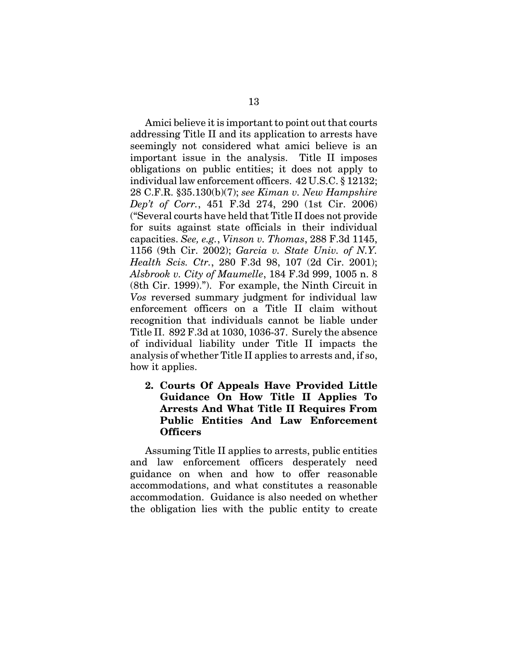Amici believe it is important to point out that courts addressing Title II and its application to arrests have seemingly not considered what amici believe is an important issue in the analysis. Title II imposes obligations on public entities; it does not apply to individual law enforcement officers. 42 U.S.C. § 12132; 28 C.F.R. §35.130(b)(7); *see Kiman v. New Hampshire Dep't of Corr.*, 451 F.3d 274, 290 (1st Cir. 2006) ("Several courts have held that Title II does not provide for suits against state officials in their individual capacities. *See, e.g.*, *Vinson v. Thomas*, 288 F.3d 1145, 1156 (9th Cir. 2002); *Garcia v. State Univ. of N.Y. Health Scis. Ctr.*, 280 F.3d 98, 107 (2d Cir. 2001); *Alsbrook v. City of Maumelle*, 184 F.3d 999, 1005 n. 8 (8th Cir. 1999)."). For example, the Ninth Circuit in *Vos* reversed summary judgment for individual law enforcement officers on a Title II claim without recognition that individuals cannot be liable under Title II. 892 F.3d at 1030, 1036-37. Surely the absence of individual liability under Title II impacts the analysis of whether Title II applies to arrests and, if so, how it applies.

### **2. Courts Of Appeals Have Provided Little Guidance On How Title II Applies To Arrests And What Title II Requires From Public Entities And Law Enforcement Officers**

Assuming Title II applies to arrests, public entities and law enforcement officers desperately need guidance on when and how to offer reasonable accommodations, and what constitutes a reasonable accommodation. Guidance is also needed on whether the obligation lies with the public entity to create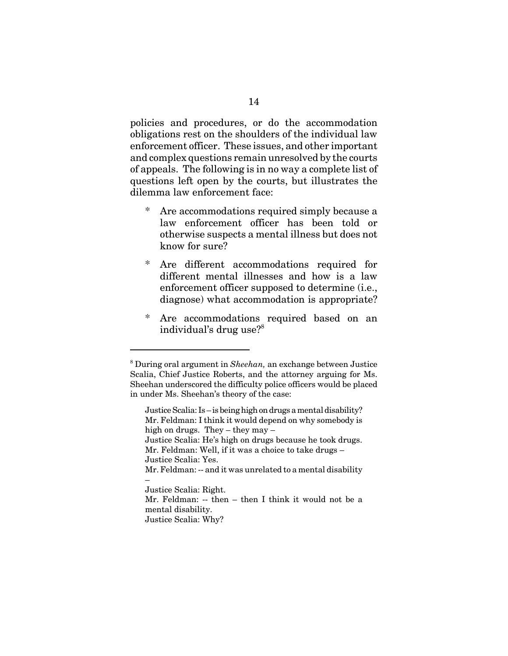policies and procedures, or do the accommodation obligations rest on the shoulders of the individual law enforcement officer. These issues, and other important and complex questions remain unresolved by the courts of appeals. The following is in no way a complete list of questions left open by the courts, but illustrates the dilemma law enforcement face:

- Are accommodations required simply because a law enforcement officer has been told or otherwise suspects a mental illness but does not know for sure?
- Are different accommodations required for different mental illnesses and how is a law enforcement officer supposed to determine (i.e., diagnose) what accommodation is appropriate?
- \* Are accommodations required based on an individual's drug use?<sup>8</sup>

<sup>8</sup> During oral argument in *Sheehan,* an exchange between Justice Scalia, Chief Justice Roberts, and the attorney arguing for Ms. Sheehan underscored the difficulty police officers would be placed in under Ms. Sheehan's theory of the case:

Justice Scalia: Is – is being high on drugs a mental disability? Mr. Feldman: I think it would depend on why somebody is high on drugs. They – they may –

Justice Scalia: He's high on drugs because he took drugs. Mr. Feldman: Well, if it was a choice to take drugs –

Justice Scalia: Yes.

Mr. Feldman: -- and it was unrelated to a mental disability –

Justice Scalia: Right.

Mr. Feldman: -- then – then I think it would not be a mental disability.

Justice Scalia: Why?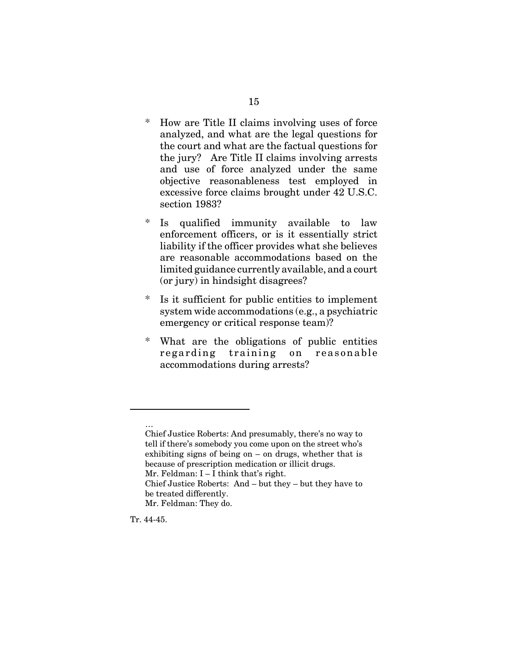- \* How are Title II claims involving uses of force analyzed, and what are the legal questions for the court and what are the factual questions for the jury? Are Title II claims involving arrests and use of force analyzed under the same objective reasonableness test employed in excessive force claims brought under 42 U.S.C. section 1983?
- \* Is qualified immunity available to law enforcement officers, or is it essentially strict liability if the officer provides what she believes are reasonable accommodations based on the limited guidance currently available, and a court (or jury) in hindsight disagrees?
- \* Is it sufficient for public entities to implement system wide accommodations (e.g., a psychiatric emergency or critical response team)?
- \* What are the obligations of public entities regarding training on reasonable accommodations during arrests?

…

Chief Justice Roberts: And presumably, there's no way to tell if there's somebody you come upon on the street who's exhibiting signs of being on – on drugs, whether that is because of prescription medication or illicit drugs. Mr. Feldman: I – I think that's right. Chief Justice Roberts: And – but they – but they have to

be treated differently.

Mr. Feldman: They do.

Tr. 44-45.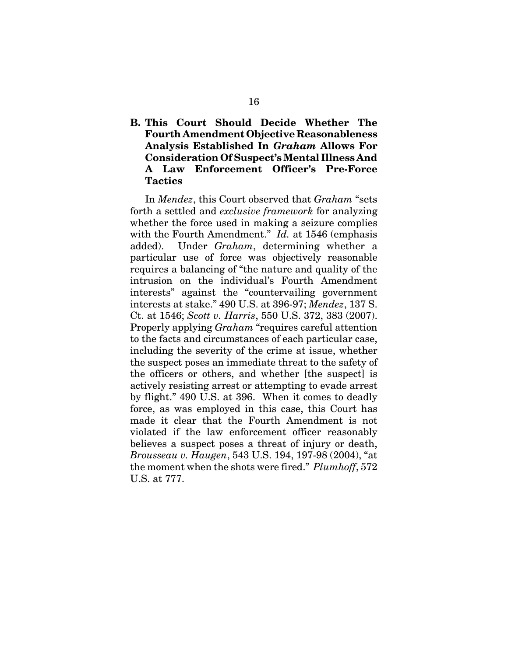### **B. This Court Should Decide Whether The Fourth Amendment Objective Reasonableness Analysis Established In** *Graham* **Allows For Consideration Of Suspect's Mental Illness And A Law Enforcement Officer's Pre-Force Tactics**

In *Mendez*, this Court observed that *Graham* "sets forth a settled and *exclusive framework* for analyzing whether the force used in making a seizure complies with the Fourth Amendment." *Id.* at 1546 (emphasis added). Under *Graham*, determining whether a particular use of force was objectively reasonable requires a balancing of "the nature and quality of the intrusion on the individual's Fourth Amendment interests" against the "countervailing government interests at stake." 490 U.S. at 396-97; *Mendez*, 137 S. Ct. at 1546; *Scott v. Harris*, 550 U.S. 372, 383 (2007). Properly applying *Graham* "requires careful attention to the facts and circumstances of each particular case, including the severity of the crime at issue, whether the suspect poses an immediate threat to the safety of the officers or others, and whether [the suspect] is actively resisting arrest or attempting to evade arrest by flight." 490 U.S. at 396. When it comes to deadly force, as was employed in this case, this Court has made it clear that the Fourth Amendment is not violated if the law enforcement officer reasonably believes a suspect poses a threat of injury or death, *Brousseau v. Haugen*, 543 U.S. 194, 197-98 (2004), "at the moment when the shots were fired." *Plumhoff*, 572 U.S. at 777.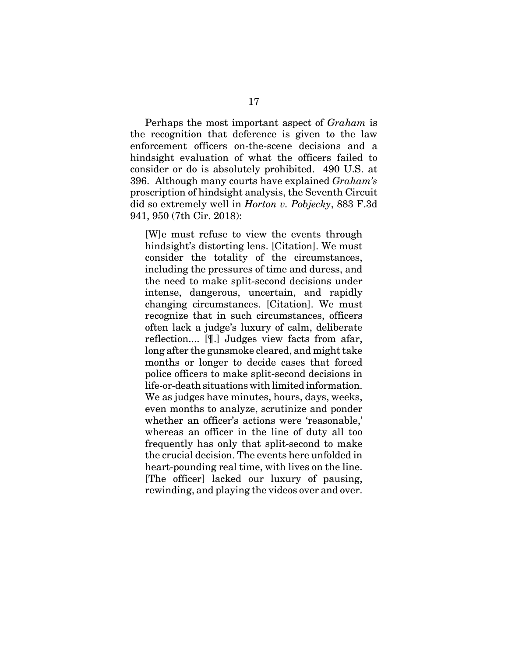Perhaps the most important aspect of *Graham* is the recognition that deference is given to the law enforcement officers on-the-scene decisions and a hindsight evaluation of what the officers failed to consider or do is absolutely prohibited. 490 U.S. at 396. Although many courts have explained *Graham's* proscription of hindsight analysis, the Seventh Circuit did so extremely well in *Horton v. Pobjecky*, 883 F.3d 941, 950 (7th Cir. 2018):

[W]e must refuse to view the events through hindsight's distorting lens. [Citation]. We must consider the totality of the circumstances, including the pressures of time and duress, and the need to make split-second decisions under intense, dangerous, uncertain, and rapidly changing circumstances. [Citation]. We must recognize that in such circumstances, officers often lack a judge's luxury of calm, deliberate reflection.... [¶.] Judges view facts from afar, long after the gunsmoke cleared, and might take months or longer to decide cases that forced police officers to make split-second decisions in life-or-death situations with limited information. We as judges have minutes, hours, days, weeks, even months to analyze, scrutinize and ponder whether an officer's actions were 'reasonable,' whereas an officer in the line of duty all too frequently has only that split-second to make the crucial decision. The events here unfolded in heart-pounding real time, with lives on the line. [The officer] lacked our luxury of pausing, rewinding, and playing the videos over and over.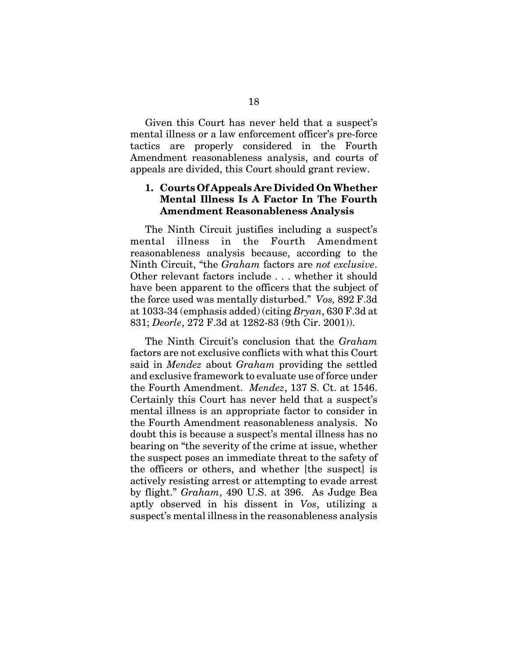Given this Court has never held that a suspect's mental illness or a law enforcement officer's pre-force tactics are properly considered in the Fourth Amendment reasonableness analysis, and courts of appeals are divided, this Court should grant review.

### **1. Courts Of Appeals Are Divided On Whether Mental Illness Is A Factor In The Fourth Amendment Reasonableness Analysis**

The Ninth Circuit justifies including a suspect's mental illness in the Fourth Amendment reasonableness analysis because, according to the Ninth Circuit, "the *Graham* factors are *not exclusive*. Other relevant factors include . . . whether it should have been apparent to the officers that the subject of the force used was mentally disturbed." *Vos,* 892 F.3d at 1033-34 (emphasis added) (citing *Bryan*, 630 F.3d at 831; *Deorle*, 272 F.3d at 1282-83 (9th Cir. 2001)).

The Ninth Circuit's conclusion that the *Graham* factors are not exclusive conflicts with what this Court said in *Mendez* about *Graham* providing the settled and exclusive framework to evaluate use of force under the Fourth Amendment. *Mendez*, 137 S. Ct. at 1546. Certainly this Court has never held that a suspect's mental illness is an appropriate factor to consider in the Fourth Amendment reasonableness analysis. No doubt this is because a suspect's mental illness has no bearing on "the severity of the crime at issue, whether the suspect poses an immediate threat to the safety of the officers or others, and whether [the suspect] is actively resisting arrest or attempting to evade arrest by flight." *Graham*, 490 U.S. at 396. As Judge Bea aptly observed in his dissent in *Vos*, utilizing a suspect's mental illness in the reasonableness analysis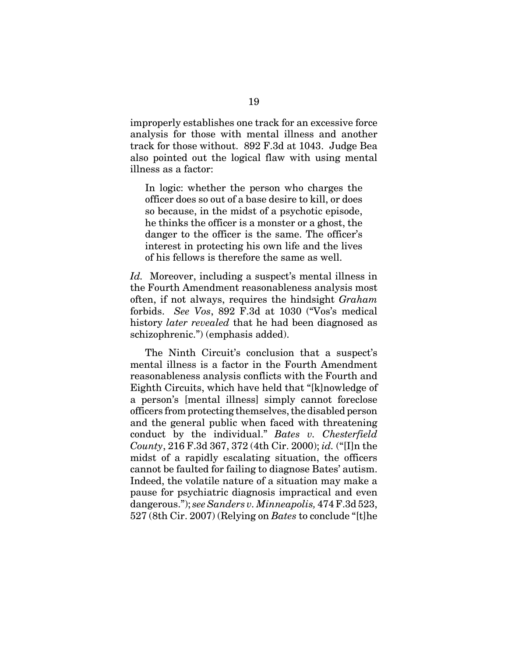improperly establishes one track for an excessive force analysis for those with mental illness and another track for those without. 892 F.3d at 1043. Judge Bea also pointed out the logical flaw with using mental illness as a factor:

In logic: whether the person who charges the officer does so out of a base desire to kill, or does so because, in the midst of a psychotic episode, he thinks the officer is a monster or a ghost, the danger to the officer is the same. The officer's interest in protecting his own life and the lives of his fellows is therefore the same as well.

*Id.* Moreover, including a suspect's mental illness in the Fourth Amendment reasonableness analysis most often, if not always, requires the hindsight *Graham* forbids. *See Vos*, 892 F.3d at 1030 ("Vos's medical history *later revealed* that he had been diagnosed as schizophrenic.") (emphasis added).

The Ninth Circuit's conclusion that a suspect's mental illness is a factor in the Fourth Amendment reasonableness analysis conflicts with the Fourth and Eighth Circuits, which have held that "[k]nowledge of a person's [mental illness] simply cannot foreclose officers from protecting themselves, the disabled person and the general public when faced with threatening conduct by the individual." *Bates v. Chesterfield County*, 216 F.3d 367, 372 (4th Cir. 2000); *id.* ("[I]n the midst of a rapidly escalating situation, the officers cannot be faulted for failing to diagnose Bates' autism. Indeed, the volatile nature of a situation may make a pause for psychiatric diagnosis impractical and even dangerous."); *see Sanders v. Minneapolis,* 474 F.3d 523, 527 (8th Cir. 2007) (Relying on *Bates* to conclude "[t]he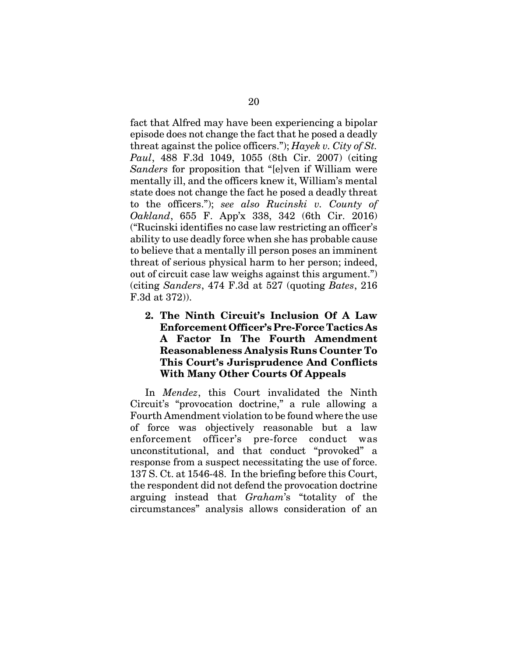fact that Alfred may have been experiencing a bipolar episode does not change the fact that he posed a deadly threat against the police officers."); *Hayek v. City of St. Paul*, 488 F.3d 1049, 1055 (8th Cir. 2007) (citing *Sanders* for proposition that "[e]ven if William were mentally ill, and the officers knew it, William's mental state does not change the fact he posed a deadly threat to the officers."); *see also Rucinski v. County of Oakland*, 655 F. App'x 338, 342 (6th Cir. 2016) ("Rucinski identifies no case law restricting an officer's ability to use deadly force when she has probable cause to believe that a mentally ill person poses an imminent threat of serious physical harm to her person; indeed, out of circuit case law weighs against this argument.") (citing *Sanders*, 474 F.3d at 527 (quoting *Bates*, 216 F.3d at 372)).

**2. The Ninth Circuit's Inclusion Of A Law Enforcement Officer's Pre-Force Tactics As A Factor In The Fourth Amendment Reasonableness Analysis Runs Counter To This Court's Jurisprudence And Conflicts With Many Other Courts Of Appeals**

In *Mendez*, this Court invalidated the Ninth Circuit's "provocation doctrine," a rule allowing a Fourth Amendment violation to be found where the use of force was objectively reasonable but a law enforcement officer's pre-force conduct was unconstitutional, and that conduct "provoked" a response from a suspect necessitating the use of force. 137 S. Ct. at 1546-48. In the briefing before this Court, the respondent did not defend the provocation doctrine arguing instead that *Graham*'s "totality of the circumstances" analysis allows consideration of an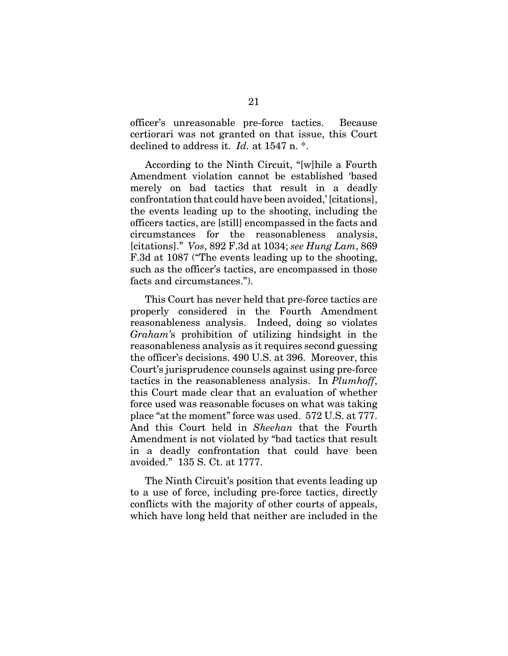officer's unreasonable pre-force tactics. Because certiorari was not granted on that issue, this Court declined to address it. *Id.* at 1547 n. \*.

According to the Ninth Circuit, "[w]hile a Fourth Amendment violation cannot be established 'based merely on bad tactics that result in a deadly confrontation that could have been avoided,' [citations], the events leading up to the shooting, including the officers tactics, are [still] encompassed in the facts and circumstances for the reasonableness analysis, [citations]." *Vos*, 892 F.3d at 1034; *see Hung Lam*, 869 F.3d at 1087 ("The events leading up to the shooting, such as the officer's tactics, are encompassed in those facts and circumstances.").

This Court has never held that pre-force tactics are properly considered in the Fourth Amendment reasonableness analysis. Indeed, doing so violates *Graham'*s prohibition of utilizing hindsight in the reasonableness analysis as it requires second guessing the officer's decisions. 490 U.S. at 396. Moreover, this Court's jurisprudence counsels against using pre-force tactics in the reasonableness analysis. In *Plumhoff*, this Court made clear that an evaluation of whether force used was reasonable focuses on what was taking place "at the moment" force was used. 572 U.S. at 777. And this Court held in *Sheehan* that the Fourth Amendment is not violated by "bad tactics that result in a deadly confrontation that could have been avoided." 135 S. Ct. at 1777.

The Ninth Circuit's position that events leading up to a use of force, including pre-force tactics, directly conflicts with the majority of other courts of appeals, which have long held that neither are included in the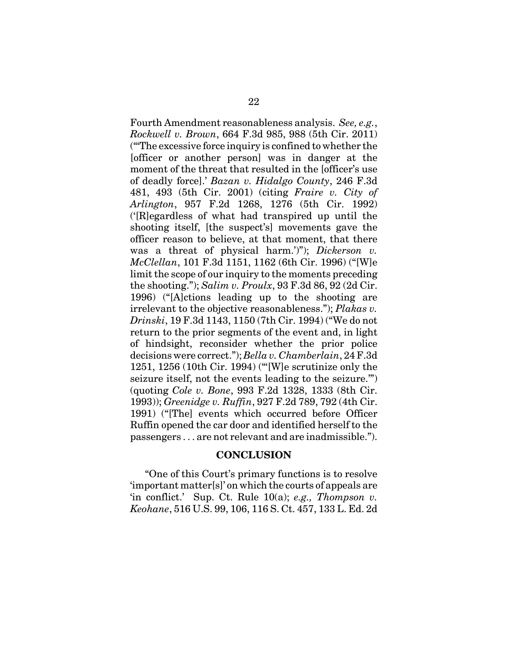Fourth Amendment reasonableness analysis. *See, e.g.*, *Rockwell v. Brown*, 664 F.3d 985, 988 (5th Cir. 2011) ("'The excessive force inquiry is confined to whether the [officer or another person] was in danger at the moment of the threat that resulted in the [officer's use of deadly force].' *Bazan v. Hidalgo County*, 246 F.3d 481, 493 (5th Cir. 2001) (citing *Fraire v. City of Arlington*, 957 F.2d 1268, 1276 (5th Cir. 1992) ('[R]egardless of what had transpired up until the shooting itself, [the suspect's] movements gave the officer reason to believe, at that moment, that there was a threat of physical harm.')"); *Dickerson v. McClellan*, 101 F.3d 1151, 1162 (6th Cir. 1996) ("[W]e limit the scope of our inquiry to the moments preceding the shooting."); *Salim v. Proulx*, 93 F.3d 86, 92 (2d Cir. 1996) ("[A]ctions leading up to the shooting are irrelevant to the objective reasonableness."); *Plakas v. Drinski*, 19 F.3d 1143, 1150 (7th Cir. 1994) ("We do not return to the prior segments of the event and, in light of hindsight, reconsider whether the prior police decisions were correct."); *Bella v. Chamberlain*, 24 F.3d 1251, 1256 (10th Cir. 1994) ("'[W]e scrutinize only the seizure itself, not the events leading to the seizure.'") (quoting *Cole v. Bone*, 993 F.2d 1328, 1333 (8th Cir. 1993)); *Greenidge v. Ruffin*, 927 F.2d 789, 792 (4th Cir. 1991) ("[The] events which occurred before Officer Ruffin opened the car door and identified herself to the passengers . . . are not relevant and are inadmissible.").

#### **CONCLUSION**

"One of this Court's primary functions is to resolve 'important matter[s]' on which the courts of appeals are 'in conflict.' Sup. Ct. Rule 10(a); *e.g., Thompson v. Keohane*, 516 U.S. 99, 106, 116 S. Ct. 457, 133 L. Ed. 2d